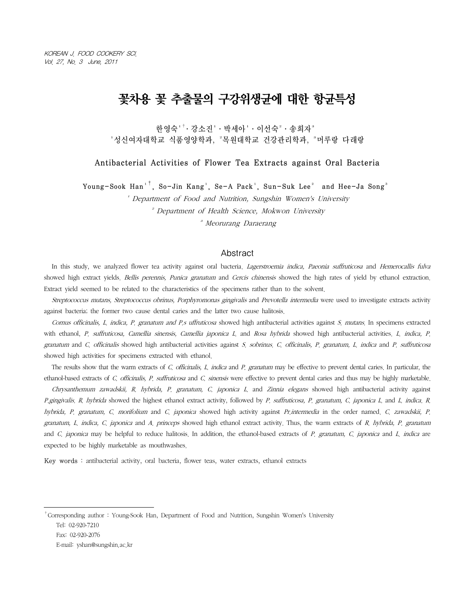# 꽃차용 꽃 추출물의 구강위생균에 대한 항균특성

한영숙' $^+$ · 강소진' · 박세아' · 이선숙 $^{\scriptscriptstyle{2}}$  · 송희자 $^{\scriptscriptstyle{3}}$ '성신여자대학교 식품영양학과, '목워대학교 건강관리학과, '머루랑 다래랑

Antibacterial Activities of Flower Tea Extracts against Oral Bacteria

Young-Sook Han<sup>1†</sup>, So-Jin Kang<sup>1</sup>, Se-A Pack<sup>1</sup>, Sun-Suk Lee<sup>2</sup> and Hee-Ja Song<sup>3</sup>

<sup>1</sup> Department of Food and Nutrition, Sungshin Women's University

²Department of Health Science, Mokwon University

³Meorurang Daraerang

### Abstract

In this study, we analyzed flower tea activity against oral bacteria. Lagerstroemia indica, Paeonia suffruticosa and Hemerocallis fulva showed high extract yields. Bellis perennis, Punica granatum and Cercis chinensis showed the high rates of yield by ethanol extraction. Extract yield seemed to be related to the characteristics of the specimens rather than to the solvent.

Streptococcus mutans, Streptococcus obrinus, Porphyromonas gingivalis and Prevotella intermedia were used to investigate extracts activity against bacteria; the former two cause dental caries and the latter two cause halitosis.

Cornus officinalis, L. indica, P. granatum and P.s uffruticosa showed high antibacterial activities against S. mutans. In specimens extracted with ethanol, P. suffruticosa, Camellia sinensis, Camellia japonica L. and Rosa hybrida showed high antibacterial activities. L. indica, P. granatum and C. officinalis showed high antibacterial activities against S. sobrinus. C. officinalis, P. granatum, L. indica and P. suffruticosa showed high activities for specimens extracted with ethanol.

The results show that the warm extracts of C. officinalis, L. indica and P. granatum may be effective to prevent dental caries. In particular, the ethanol-based extracts of C. officinalis, P. suffruticosa and C. sinensis were effective to prevent dental caries and thus may be highly marketable.

Chrysanthemum zawadskii, R. hybrida, P. granatum, C. japonica L. and Zinnia elegans showed high antibacterial activity against P.gingivalis. R. hybrida showed the highest ethanol extract activity, followed by P. suffruticosa, P. granatum, C. japonica L. and L. indica. R. hybrida, P. granatum, C. morifolium and C. japonica showed high activity against Pr.intermedia in the order named. C. zawadskii, P. granatum, L. indica, C. japonica and A. princeps showed high ethanol extract activity. Thus, the warm extracts of R. hybrida, P. granatum and C. japonica may be helpful to reduce halitosis. In addition, the ethanol-based extracts of P. granatum, C. japonica and L. indica are expected to be highly marketable as mouthwashes.

Key words : antibacterial activity, oral bacteria, flower teas, water extracts, ethanol extracts

†Corresponding author : Young-Sook Han, Department of Food and Nutrition, Sungshin Women's University Tel: 02-920-7210

Fax: 02-920-2076

E-mail: yshan@sungshin.ac.kr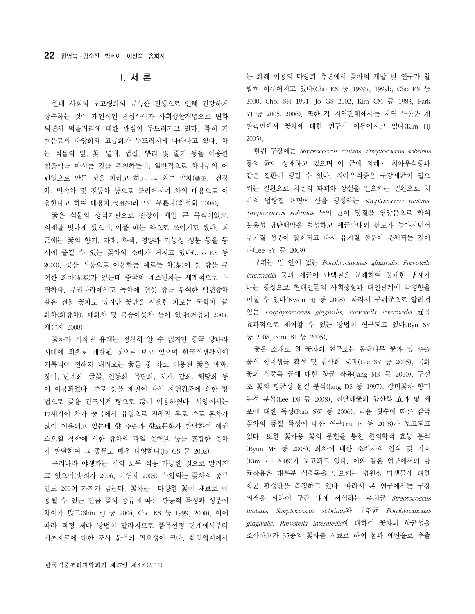### I. 서 론

현대 사회의 초고령화의 급속한 진행으로 인해 건강하게 장수하는 것이 개인적인 관심사이자 사회생활개념으로 변화 되면서 먹을거리에 대한 관심이 두드러지고 있다. 특히 기 호음료의 다양화와 고급화가 두드러지게 나타나고 있다. 차 는 식물의 잎, 꽃, 열매, 껍질, 뿌리 및 줄기 등을 이용한 침출액을 마시는 것을 총칭하는데, 일반적으로 차나무의 어 린잎으로 만든 것을 차라고 하고 그 외는 약차(藥茶), 건강 차, 민속차 및 전통차 등으로 불리어지며 차의 대용으로 이 용한다고 하여 대용차(代用茶)라고도 부른다(최성희 2004).

꽃은 식물의 생식기관으로 관상이 제일 큰 목적이었고, 의례를 빛나게 했으며, 아플 때는 약으로 쓰이기도 했다. 최 근에는 꽃의 향기, 자태, 화색, 영양과 기능성 성분 등을 동 시에 즐길 수 있는 꽃차의 소비가 커지고 있다(Cho KS 등 2000). 꽃을 식품으로 이용하는 예로는 차(茶)에 꽃 향을 부 여한 화차(花茶)가 있는데 중국의 재스민차는 세계적으로 유 명하다. 우리나라에서도 녹차에 연꽃 향을 부여한 백련향차 같은 전통 꽃차도 있지만 꽃만을 사용한 차로는 국화차, 귤 화차(화향차), 매화차 및 복숭아꽃차 등이 있다(최성희 2004, 제순자 2008).

꽃차가 시작된 유래는 정확히 알 수 없지만 중국 당나라 시대에 최초로 개발된 것으로 보고 있으며 한국식생활사에 기록되어 전해져 내려오는 꽃들 중 차로 이용된 꽃은 매화, 장미, 난계화, 귤꽃, 인동화, 목단화, 치자, 갈화, 해당화 등 이 이용되었다. 주로 꽃을 제철에 따서 자연건조에 의한 방 법으로 꽃을 건조시켜 탕으로 많이 이용하였다. 서양에서는 17세기에 차가 중국에서 유럽으로 전해진 후로 주로 홍차가 많이 이용되고 있는데 향 추출과 향료문화가 발달하여 에센 스오일 착향에 의한 향차와 과일 꽃허브 등을 혼합한 꽃차 가 발달하여 그 종류도 매우 다양하다(Jo GS 등 2002).

우리나라 야생화는 거의 모두 식용 가능한 것으로 알려지 고 있으며(송희자 2006, 이연자 2005) 수입되는 꽃차의 종류 만도 200여 가지가 넘는다. 꽃차는 다양한 꽃이 재료로 이 용될 수 있는 만큼 꽃의 종류에 따른 관능적 특성과 성분에 차이가 많고(Shin YJ 등 2004, Cho KS 등 1999, 2000), 이에 따라 적정 제다 방법이 달라지므로 품목선정 단계에서부터 기초자료에 대한 조사 분석의 필요성이 크다. 화훼업계에서 는 화훼 이용의 다양화 측면에서 꽃차의 개발 및 연구가 활 발히 이루어지고 있다(Cho KS 등 1999a, 1999b, Cho KS 등 2000, Choi SH 1991, Jo GS 2002, Kim CM 등 1983, Park YJ 등 2005, 2006). 또한 각 지역단체에서는 지역 특산품 개 발측면에서 꽃차에 대한 연구가 이루어지고 있다(Kim HJ 2005).

한편 구강에는 Streptococcus mutans, Streptococcus sobrinus 등의 균이 상재하고 있으며 이 균에 의해서 치아우식증과 같은 질환이 생길 수 있다. 치아우식증은 구강세균이 일으 키는 질환으로 치질의 파괴와 상실을 일으키는 질환으로 치 아의 법랑질 표면에 산을 생성하는 Streptococcus mutans, Streptococcus sobrinus 등의 균이 당질을 영양분으로 하여 불용성 당단백막을 형성하고 세균막내의 산도가 높아지면서 무기질 성분이 탈회되고 다시 유기질 성분이 분해되는 것이 다(Lee SY 등 2009).

구취는 입 안에 있는 Porphyromonas gingivalis, Prevotella *intermedia* 등의 세균이 단백질을 분해하여 불쾌한 냄새가 나는 증상으로 현대인들의 사회생활과 대인관계에 악영향을 미칠 수 있다(Kwon HJ 등 2008). 따라서 구취균으로 알려져 있는 Porphyromonas gingivalis, Prevotella intermedia 균을 효과적으로 제어할 수 있는 방법이 연구되고 있다(Ryu SY 등 2008, Kim BI 등 2005).

꽃을 소재로 한 꽃차의 연구로는 동백나무 꽃과 잎 추출 물의 항미생물 활성 및 항산화 효과(Lee SY 등 2005), 국화 꽃의 식중독 균에 대한 항균 작용(Jang MR 등 2010), 구절 초 꽃의 항균성 물질 분석(Jang DS 등 1997), 장미꽃차 향미 특성 분석(Lee DS 등 2008), 진달래꽃의 항산화 효과 및 세 포에 대한 독성(Park SW 등 2006), 덖음 횟수에 따른 감국 꽃차의 품질 특성에 대한 연구(Yu JS 등 2008)가 보고되고 있다. 또한 꽃차용 꽃의 문헌을 통한 한의학적 효능 분석 (Byun MS 등 2008), 화차에 대한 소비자의 인식 및 기호 (Kim KH 2009)가 보고되고 있다. 이와 같은 연구에서의 항 균작용은 대부분 식중독을 일으키는 병원성 미생물에 대한 항균 활성만을 측정하고 있다. 따라서 본 연구에서는 구강 위생을 위하여 구강 내에 서식하는 충치균 Streptococcus mutans, Streptococcus sobrinus와 구취균 Porphyromonas gingivalis, Prevotella intermedia에 대하여 꽃차의 항균성을 조사하고자 35종의 꽃차를 시료로 하여 물과 에탄올로 추출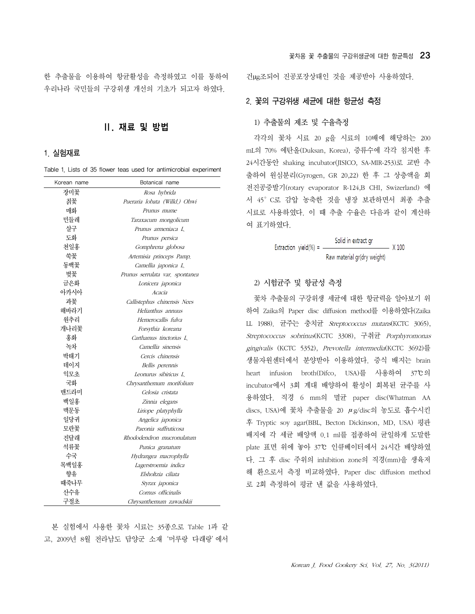한 추출물을 이용하여 항균활성을 측정하였고 이를 통하여 우리나라 국민들의 구강위생 개선의 기초가 되고자 하였다.

# Ⅱ. 재료 및 방법

#### 1. 실험재료

Table 1. Lists of 35 flower teas used for antimicrobial experiment

| Korean name | Botanical name                  |  |  |  |  |
|-------------|---------------------------------|--|--|--|--|
| 장미꽃         | Rosa hybrida                    |  |  |  |  |
| 칡꽃          | Pueraria lobata (Willd.) Ohwi   |  |  |  |  |
| 매화          | Prunus mume                     |  |  |  |  |
| 민들레         | Taraxacum mongolicum            |  |  |  |  |
| 살구          | Prunus armeniaca L              |  |  |  |  |
| 도화          | Prunus persica                  |  |  |  |  |
| 천일홍         | Gomphrena globosa               |  |  |  |  |
| 쑥꽃          | Artemisia princeps Pamp.        |  |  |  |  |
| 동백꽃         | Camellia japonica L.            |  |  |  |  |
| 벚꽃          | Prunus serrulata var, spontanea |  |  |  |  |
| 금은화         | Lonicera japonica               |  |  |  |  |
| 아카시아        | Acacia                          |  |  |  |  |
| 과꽃          | Callistephus chinensis Nees     |  |  |  |  |
| 해바라기        | Helianthus annuus               |  |  |  |  |
| 워추리         | Hemerocallis fulva              |  |  |  |  |
| 개나리꽃        | Forsythia koreana               |  |  |  |  |
| 홍화          | Carthamus tinctorius L          |  |  |  |  |
| 녹차          | Camellia sinensis               |  |  |  |  |
| 박태기         | Cercis chinensis                |  |  |  |  |
| 데이지         | Bellis perennis                 |  |  |  |  |
| 익모초         | Leonurus sibiricus L            |  |  |  |  |
| 국화          | Chrysanthemum morifolium        |  |  |  |  |
| 맨드라미        | Celosia cristata                |  |  |  |  |
| 백일홍         | Zinnia elegans                  |  |  |  |  |
| 맥문동         | Liriope platyphylla             |  |  |  |  |
| 일당귀         | Angelica japonica               |  |  |  |  |
| 모란꽃         | Paeonia suffruticosa            |  |  |  |  |
| 지달래         | Rhododendron mucronulatum       |  |  |  |  |
| 석류꽃         | Punica granatum                 |  |  |  |  |
| 수국          | Hydrangea macrophylla           |  |  |  |  |
| 목백일홍        | Lagerstroemia indica            |  |  |  |  |
| 향유          | Elsholtzia ciliata              |  |  |  |  |
| 때죽나무        | Styrax japonica                 |  |  |  |  |
| 산수유         | Cornus officinalis              |  |  |  |  |
| 구절초         | Chrysanthemum zawadskii         |  |  |  |  |

본 실험에서 사용한 꽃차 시료는 35종으로 Table 1과 같 고, 2009년 8월 전라남도 담양군 소재'머루랑 다래랑'에서 건µg조되어 진공포장상태인 것을 제공받아 사용하였다.

### 2. 꽃의 구강위생 세균에 대한 항균성 측정

#### 1) 추출물의 제조 및 수율측정

각각의 꽃차 시료 20 g을 시료의 10배에 해당하는 200 mL의 70% 에탄올(Duksan, Korea), 증류수에 각각 침지한 후 24시간동안 shaking incubator(JISICO, SA-MIR-253)로 교반 추 출하여 원심분리(Gyrogen, GR 20,22) 한 후 그 상층액을 회 전진공증발기(rotary evaporator R-124,B CHI, Swizerland) 에 서 45°C로 감압 농축한 것을 냉장 보관하면서 최종 추출 시료로 사용하였다. 이 때 추출 수율은 다음과 같이 계산하 여 표기하였다.

> Solid in extract gr Extraction yield(%) =  $- X 100$ Raw material gr(dry weight)

### 2) 시험균주 및 항균성 측정

꽃차 추출물의 구강위생 세균에 대한 항균력을 알아보기 위 하여 Zaika의 Paper disc diffusion method를 이용하였다(Zaika LL 1988). 균주는 충치균 Streptococcus mutans(KCTC 3065), Streptococcus sobrinus(KCTC 3308), 구취균 Porphyromonas gingivalis (KCTC 5352), Prevotella intermedia(KCTC 3692)를 생물자원센터에서 분양받아 이용하였다. 증식 배지는 brain heart infusion broth(Difco, USA)를 사용하여 37℃의 incubator에서 3회 계대 배양하여 활성이 회복된 균주를 사 용하였다. 직경 6 mm의 멸균 paper disc(Whatman AA discs, USA)에 꽃차 추출물을 20 μg/disc의 농도로 흡수시킨 후 Tryptic soy agar(BBL, Becton Dickinson, MD, USA) 평판 배지에 각 세균 배양액 0.1 ml를 접종하여 균일하게 도말한 plate 표면 위에 놓아 37℃ 인큐베이터에서 24시간 배양하였 다. 그 후 disc 주위의 inhibition zone의 직경(mm)을 생육저 해 환으로서 측정 비교하였다. Paper disc diffusion method 로 2회 측정하여 평균 낸 값을 사용하였다.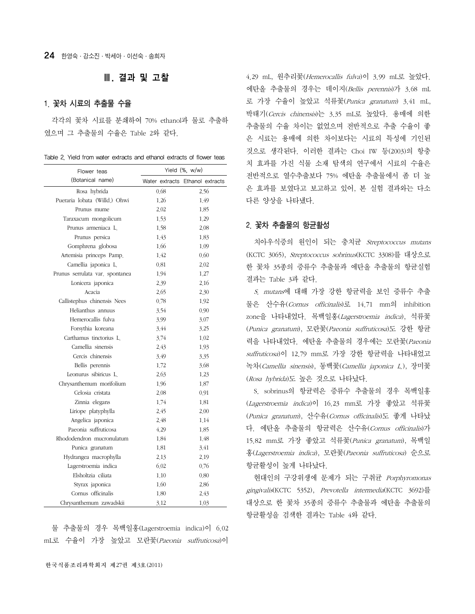### Ⅲ. 결과 및 고찰

### 1. 꽃차 시료의 추출물 수율

각각의 꽃차 시료를 분쇄하여 70% ethanol과 물로 추출하 였으며 그 추출물의 수율은 Table 2와 같다.

| Table 2. Yield from water extracts and ethanol extracts of flower teas |  |  |  |  |  |  |  |  |
|------------------------------------------------------------------------|--|--|--|--|--|--|--|--|
|------------------------------------------------------------------------|--|--|--|--|--|--|--|--|

| Flower teas                     | Yield (%, w/w) |                                 |  |  |  |
|---------------------------------|----------------|---------------------------------|--|--|--|
| (Botanical name)                |                | Water extracts Ethanol extracts |  |  |  |
| Rosa hybrida                    | 0.68           | 2.56                            |  |  |  |
| Pueraria lobata (Willd.) Ohwi   | 1.26           | 1.49                            |  |  |  |
| Prunus mume                     | 2.02           | 1.85                            |  |  |  |
| Taraxacum mongolicum            | 1.53           | 1.29                            |  |  |  |
| Prunus armeniaca L.             | 1.58           | 2.08                            |  |  |  |
| Prunus persica                  | 1.43           | 1.83                            |  |  |  |
| Gomphrena globosa               | 1.66           | 1.09                            |  |  |  |
| Artemisia princeps Pamp.        | 1.42           | 0.60                            |  |  |  |
| Camellia japonica L             | 0.81           | 2.02                            |  |  |  |
| Prunus serrulata var. spontanea | 1.94           | 1.27                            |  |  |  |
| Lonicera japonica               | 2.39           | 2.16                            |  |  |  |
| Acacia                          | 2.65           | 2.30                            |  |  |  |
| Callistephus chinensis Nees     | 0.78           | 1.92                            |  |  |  |
| Helianthus annuus               | 3.54           | 0.90                            |  |  |  |
| Hemerocallis fulva              | 3.99           | 3.07                            |  |  |  |
| Forsythia koreana               | 3.44           | 3.25                            |  |  |  |
| Carthamus tinctorius L.         | 3.74           | 1.02                            |  |  |  |
| Camellia sinensis               | 2.43           | 1.93                            |  |  |  |
| Cercis chinensis                | 3.49           | 3.35                            |  |  |  |
| Bellis perennis                 | 1.72           | 3.68                            |  |  |  |
| Leonurus sibiricus L.           | 2.63           | 1.23                            |  |  |  |
| Chrysanthemum morifolium        | 1.96           | 1.87                            |  |  |  |
| Celosia cristata                | 2.08           | 0.91                            |  |  |  |
| Zinnia elegans                  | 1.74           | 1.81                            |  |  |  |
| Liriope platyphylla             | 2.45           | 2,00                            |  |  |  |
| Angelica japonica               | 2.48           | 1.14                            |  |  |  |
| Paeonia suffruticosa            | 4.29           | 1.85                            |  |  |  |
| Rhododendron mucronulatum       | 1.84           | 1.48                            |  |  |  |
| Punica granatum                 | 1.81           | 3.41                            |  |  |  |
| Hydrangea macrophylla           | 2.13           | 2.19                            |  |  |  |
| Lagerstroemia indica            | 6.02           | 0.76                            |  |  |  |
| Elsholtzia ciliata              | 1.10           | 0.80                            |  |  |  |
| Styrax japonica                 | 1.60           | 2.86                            |  |  |  |
| Cornus officinalis              | 1.80           | 2.43                            |  |  |  |
| Chrysanthemum zawadskii         | 3.12           | 1.03                            |  |  |  |

물 추출물의 경우 목백일홍(Lagerstroemia indica)이 6.02 mL로 수율이 가장 높았고 모란꽃(Paeonia suffruticosa)이

4.29 mL, 원추리꽃(Hemerocallis fulva)이 3.99 mL로 높았다. 에탄올 추출물의 경우는 데이지(Bellis perennis)가 3.68 mL 로 가장 수율이 높았고 석류꽃(Punica granatum) 3.41 mL, 박태기(Cercis chinensis)는 3.35 mL로 높았다. 용매에 의한 추출물의 수율 차이는 없었으며 전반적으로 추출 수율이 좋 은 시료는 용매에 의한 차이보다는 시료의 특성에 기인된 것으로 생각된다. 이러한 결과는 Choi IW 등(2003)의 항충 치 효과를 가진 식물 소재 탐색의 연구에서 시료의 수율은 전반적으로 열수추출보다 75% 에탄올 추출물에서 좀 더 높 은 효과를 보였다고 보고하고 있어, 본 실험 결과와는 다소 다른 양상을 나타냈다.

### 2. 꽃차 추출물의 항균활성

치아우식증의 원인이 되는 충치균 Streptococcus mutans (KCTC 3065), Streptococcus sobrinus(KCTC 3308)를 대상으로 한 꽃차 35종의 증류수 추출물과 에탄올 추출물의 항균실험 결과는 Table 3과 같다.

S. mutans에 대해 가장 강한 항균력을 보인 증류수 추출 물은 산수유(Cornus officinalis)로 14.71 mm의 inhibition zone을 나타내었다. 목백일홍(Lagerstroemia indica), 석류꽃 (Punica granatum), 모란꽃(Paeonia suffruticosa)도 강한 항균 력을 나타내었다. 에탄올 추출물의 경우에는 모란꽃(Paeonia suffruticosa)이 12.79 mm로 가장 강한 항균력을 나타내었고 녹차(Camellia sinensis), 동백꽃(Camellia japonica L.), 장미꽃 (Rosa hybrida)도 높은 것으로 나타났다.

S. sobrinus의 항균력은 증류수 추출물의 경우 목백일홍 (Lagerstroemia indica)이 16.23 mm로 가장 좋았고 석류꽃 (Punica granatum), 산수유(Cornus officinalis)도 좋게 나타났 다. 에탄올 추출물의 항균력은 산수유(Cornus officinalis)가 15.82 mm로 가장 좋았고 석류꽃(Punica granatum), 목백일 홍(Lagerstroemia indica), 모란꽃(Paeonia suffruticosa) 순으로 항균활성이 높게 나타났다.

현대인의 구강위생에 문제가 되는 구취균 Porphyromonas gingivalis(KCTC 5352), Prevotella intermedia(KCTC 3692)를 대상으로 한 꽃차 35종의 증류수 추출물과 에탄올 추출물의 항균활성을 검색한 결과는 Table 4와 같다.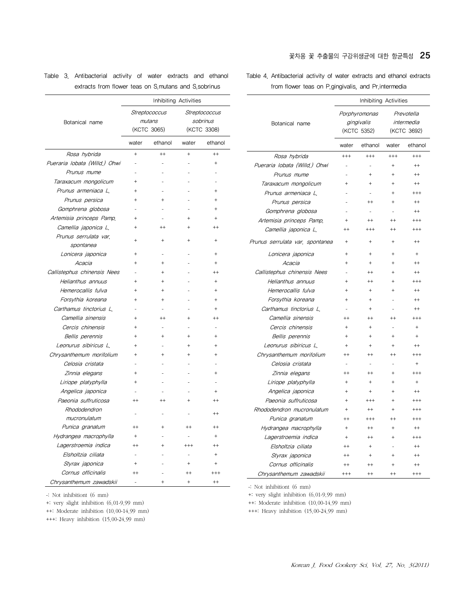### 꽃차용 꽃 추출물의 구강위생균에 대한 항균특성 25

Table 4. Antibacterial activity of water extracts and ethanol extracts from flower teas on P.gingivalis, and Pr.intermedia

|                                 | Inhibiting Activities |                                            |                                         |           |  |  |
|---------------------------------|-----------------------|--------------------------------------------|-----------------------------------------|-----------|--|--|
| Botanical name                  |                       | Porphyromonas<br>gingivalis<br>(KCTC 5352) | Prevotella<br>intermedia<br>(KCTC 3692) |           |  |  |
|                                 | water                 | ethanol                                    | water                                   | ethanol   |  |  |
| Rosa hybrida                    | $^{+++}$              | $^{+++}$                                   | $^{++}$                                 | $^{+++}$  |  |  |
| Pueraria lobata (Willd.) Ohwi   |                       |                                            | $\ddot{}$                               | $^{++}$   |  |  |
| Prunus mume                     |                       | $\overline{+}$                             | $\ddot{}$                               | $++$      |  |  |
| Taraxacum mongolicum            | $\ddot{}$             | $\ddot{}$                                  | $\ddot{}$                               | $++$      |  |  |
| Prunus armeniaca L.             |                       |                                            | $\ddot{}$                               | $^{+++}$  |  |  |
| Prunus persica                  |                       | $^{++}$                                    | $\ddot{}$                               | $++$      |  |  |
| Gomphrena globosa               |                       |                                            |                                         | $++$      |  |  |
| Artemisia princeps Pamp.        | $\ddot{}$             | $^{++}$                                    | $++$                                    | $^{+++}$  |  |  |
| Camellia japonica L.            | $^{++}$               | $^{+++}$                                   | $++$                                    | $^{+++}$  |  |  |
| Prunus serrulata var, spontanea | $\ddot{}$             | $\ddot{}$                                  | $\ddot{}$                               | $^{++}$   |  |  |
| Lonicera japonica               | $\ddot{}$             | $\ddot{}$                                  | $\ddot{}$                               | $\ddot{}$ |  |  |
| Acacia                          | ÷                     | $\ddot{}$                                  | $\ddot{}$                               | $++$      |  |  |
| Callistephus chinensis Nees     |                       | $^{++}$                                    | $\ddot{}$                               | $^{++}$   |  |  |
| Helianthus annuus               | ÷                     | $^{++}$                                    | $\ddot{}$                               | $^{+++}$  |  |  |
| Hemerocallis fulva              |                       | $\ddot{}$                                  | $^{+}$                                  | $^{++}$   |  |  |
| Forsythia koreana               | $\ddot{}$             | $\ddot{}$                                  |                                         | $^{++}$   |  |  |
| Carthamus tinctorius L          |                       | $\ddot{}$                                  |                                         | $^{++}$   |  |  |
| Camellia sinensis               | $++$                  | $^{++}$                                    | $++$                                    | $^{+++}$  |  |  |
| Cercis chinensis                | $\ddot{}$             | $\ddot{}$                                  |                                         | $\ddot{}$ |  |  |
| Bellis perennis                 | $\ddot{}$             | $\ddot{}$                                  | $\ddot{}$                               | $\ddot{}$ |  |  |
| Leonurus sibiricus L.           | $\ddot{}$             | $\ddot{}$                                  | $\ddot{}$                               | $++$      |  |  |
| Chrysanthemum morifolium        | $++$                  | $^{++}$                                    | $^{++}$                                 | $^{+++}$  |  |  |
| Celosia cristata                |                       |                                            | L.                                      | $\ddot{}$ |  |  |
| Zinnia elegans                  | $^{++}$               | $++$                                       | $\ddot{}$                               | $+ + +$   |  |  |
| Liriope platyphylla             | $\ddot{}$             | $\ddot{}$                                  | $\ddot{}$                               | $+$       |  |  |
| Angelica japonica               | $\ddot{}$             | $\ddot{}$                                  | $\ddot{}$                               | $^{++}$   |  |  |
| Paeonia suffruticosa            | $\ddot{}$             | $^{+++}$                                   | $\ddot{}$                               | $^{+++}$  |  |  |
| Rhododendron mucronulatum       | $^{+}$                | $++$                                       | $+$                                     | $^{+++}$  |  |  |
| Punica granatum                 | $^{++}$               | $^{+++}$                                   | $^{++}$                                 | $^{+++}$  |  |  |
| Hydrangea macrophylla           | $\ddot{}$             | $^{++}$                                    | $\overline{+}$                          | $^{++}$   |  |  |
| Lagerstroemia indica            | $\ddot{}$             | $^{++}$                                    | $\ddot{}$                               | $^{+++}$  |  |  |
| Elsholtzia ciliata              | $^{++}$               | $\ddot{}$                                  |                                         | $^{++}$   |  |  |
| Styrax japonica                 | $++$                  | $\ddot{}$                                  | $\ddot{}$                               | $^{++}$   |  |  |
| Cornus officinalis              | $^{++}$               | $^{++}$                                    | $\ddot{}$                               | $^{++}$   |  |  |
| Chrysanthemum zawadskii         | $^{+++}$              | $++$                                       | $++$                                    | $^{+++}$  |  |  |

|                                                      | Table 3. Antibacterial activity of water extracts and ethanol |  |  |  |  |  |
|------------------------------------------------------|---------------------------------------------------------------|--|--|--|--|--|
| extracts from flower teas on S mutans and S sobrinus |                                                               |  |  |  |  |  |

**Streptococcus** mutans (KCTC 3065)

Rosa hybrida  $+$   $+$   $+$   $+$   $+$   $+$ Pueraria lobata (Willd.) Ohwi - - - - - - +

 $spondanea$  + + + + Lonicera japonica +--+ Acacia  $+$   $+$   $+$ 

Callistephus chinensis Nees  $+$   $+$ Helianthus annuus ++- +  $H$ emerocallis fulva  $+$   $+$   $+$ Forsythia koreana ++- + Carthamus tinctorius L. Camellia sinensis  $+$   $+$   $+$   $+$   $+$   $+$ 

Bellis perennis + + + + + +

Zinnia elegans +--+

Angelica japonica - - - - - + + Paeonia suffruticosa ++ ++ ++ ++ ++

mucronulatum - - - - - ++<br>mucronulatum Punica granatum ++ + ++ ++ Hydrangea macrophylla +--+ Lagerstroemia indica  $++$   $++$   $++$   $++$ Elsholtzia ciliata di chemica e chemica e chemica e chemica e chemica e chemica e chemica e chemica e chemica Styrax japonica  $+$   $+$   $+$   $+$ Cornus officinalis  $++$  -  $++$  +++ Chrysanthemum zawadskii - + + +

 $Chrysanthemum morifolium$  + + + +

Taraxacum mongolicum +-- - Prunus armeniaca L. +--+ Prunus persica ++- + Gomphrena globosa - - - - - + Artemisia princeps Pamp. + -++ Camellia japonica  $L_{1} + + + + + + + + + +$ 

Inhibiting Activities

water ethanol water ethanol

**Streptococcus** sobrinus (KCTC 3308)

Botanical name

Prunus mume

Prunus serrulata var.

Cercis chinensis +

Liriope platyphylla +

Leonurus sibiricus L.

Celosia cristata

Rhododendron

-: Not inhibitiont (6 mm)

+: very slight inhibition (6.01-9.99 mm)

++: Moderate inhibition (10.00-14.99 mm)

+++: Heavy inhibition (15.00-24.99 mm)

-: Not inhibitiont (6 mm)

+: very slight inhibition (6.01-9.99 mm)

++: Moderate inhibition (10.00-14.99 mm)

+++: Heavy inhibition (15.00-24.99 mm)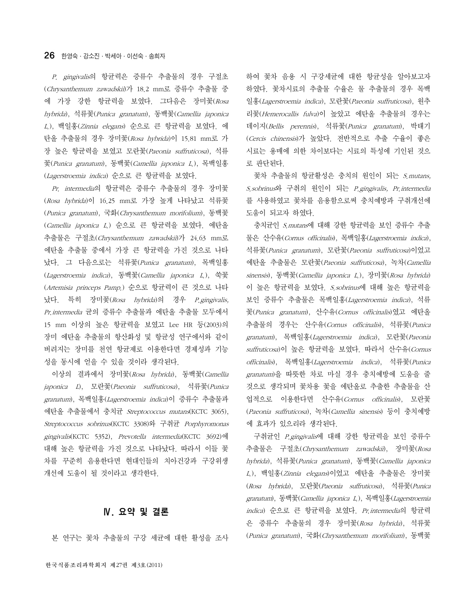P. gingivalis의 항균력은 증류수 추출물의 경우 구절초 (Chrysanthemum zawadskii)가 18.2 mm로 증류수 추출물 중 에 가장 강한 항균력을 보였다. 그다음은 장미꽃(Rosa hybrida), 석류꽃(Punica granatum), 동백꽃(Camellia japonica L.), 백일홍(Zinnia elegans) 순으로 큰 항균력을 보였다. 에 탄올 추출물의 경우 장미꽃(Rosa hybrida)이 15.81 mm로 가 장 높은 항균력을 보였고 모란꽃(Paeonia suffruticosa), 석류 꽃(Punica granatum), 동백꽃(Camellia japonica L.), 목백일홍 (Lagerstroemia indica) 순으로 큰 항균력을 보였다.

Pr. intermedia의 항균력은 증류수 추출물의 경우 장미꽃 (Rosa hybrida)이 16.25 mm로 가장 높게 나타났고 석류꽃 (Punica granatum), 국화(Chrysanthemum morifolium), 동백꽃 (Camellia japonica L.) 순으로 큰 항균력을 보였다. 에탄올 추출물은 구절초(Chrysanthemum zawadskii)가 24.63 mm로 에탄올 추출물 중에서 가장 큰 항균력을 가진 것으로 나타 났다. 그 다음으로는 석류꽃(Punica granatum), 목백일홍 (Lagerstroemia indica), 동백꽃(Camellia japonica L.), 쑥꽃 (Artemisia princeps Pamp.) 순으로 항균력이 큰 것으로 나타 났다. 특히 장미꽃(Rosa hybrida)의 경우 P.gingivalis, Pr.intermedia 균의 증류수 추출물과 에탄올 추출물 모두에서 15 mm 이상의 높은 항균력을 보였고 Lee HR 등(2003)의 장미 에탄올 추출물의 항산화성 및 항균성 연구에서와 같이 버려지는 장미를 천연 항균제로 이용한다면 경제성과 기능 성을 동시에 얻을 수 있을 것이라 생각된다.

이상의 결과에서 장미꽃(Rosa hybrida), 동백꽃(Camellia japonica L), 모란꽃(Paeonia suffruticosa), 석류꽃(Punica *granatum*), 목백일홍(*Lagerstroemia indica*)이 증류수 추출물과 에탄올 추출물에서 충치균 Streptococcus mutans(KCTC 3065), Streptococcus sobrinus(KCTC 3308)와 구취균 Porphyromonas gingivalis(KCTC 5352), Prevotella intermedia(KCTC 3692)에 대해 높은 항균력을 가진 것으로 나타났다. 따라서 이들 꽃 차를 꾸준히 음용한다면 현대인들의 치아건강과 구강위생 개선에 도움이 될 것이라고 생각한다.

### Ⅳ. 요약 및 결론

본 연구는 꽃차 추출물의 구강 세균에 대한 활성을 조사

하여 꽃차 음용 시 구강세균에 대한 항균성을 알아보고자 하였다. 꽃차시료의 추출물 수율은 물 추출물의 경우 목백 일홍(Lagerstroemia indica), 모란꽃(Paeonia suffruticosa), 원추 리꽃(Hemerocallis fulva)이 높았고 에탄올 추출물의 경우는 데이지(Bellis perennis), 석류꽃(Punica granatum), 박태기 (Cercis chinensis)가 높았다. 전반적으로 추출 수율이 좋은 시료는 용매에 의한 차이보다는 시료의 특성에 기인된 것으 로 판단된다. 꽃차 추출물의 항균활성은 충치의 원인이 되는 *S.mutans,* 

S.sobrinus와 구취의 원인이 되는 P.gingivalis, Pr.intermedia 를 사용하였고 꽃차를 음용함으로써 충치예방과 구취개선에 도움이 되고자 하였다.

충치균인 S.mutans에 대해 강한 항균력을 보인 증류수 추출 물은 산수유(Cornus officinalis), 목백일홍(Lagerstroemia indica), 석류꽃(*Punica granatum*), 모란꽃(*Paeonia suffruticosa*)이었고 에탄올 추출물은 모란꽃(Paeonia suffruticosa), 녹차(Camellia sinensis), 동백꽃(Camellia japonica L.), 장미꽃(Rosa hybrida) 이 높은 항균력을 보였다.  $S$ .sobrinus에 대해 높은 항균력을 보인 증류수 추출물은 목백일홍(Lagerstroemia indica), 석류 꽃(Punica granatum), 산수유(Cornus officinalis)였고 에탄올 추출물의 경우는 산수유(Cornus officinalis), 석류꽃(Punica granatum), 목백일홍(Lagerstroemia indica), 모란꽃(Paeonia suffruticosa)이 높은 항균력을 보였다. 따라서 산수유(Cornus officinalis), 목백일홍(Lagerstroemia indica), 석류꽃(Punica granatum)을 따뜻한 차로 마실 경우 충치예방에 도움을 줄 것으로 생각되며 꽃차용 꽃을 에탄올로 추출한 추출물을 산 업적으로 이용한다면 산수유(Cornus officinalis), 모란꽃 (Paeonia suffruticosa), 녹차(Camellia sinensis) 등이 충치예방 에 효과가 있으리라 생각된다.

구취균인 P.gingivalis에 대해 강한 항균력을 보인 증류수 추출물은 구절초(Chrysanthemum zawadskii), 장미꽃(Rosa hybrida), 석류꽃(Punica granatum), 동백꽃(Camellia japonica L.), 백일홍(Zinnia elegans)이었고 에탄올 추출물은 장미꽃 (Rosa hybrida), 모란꽃(Paeonia suffruticosa), 석류꽃(Punica granatum), 동백꽃(Camellia japonica L.), 목백일홍(Lagerstroemia indica) 순으로 큰 항균력을 보였다. Pr.intermedia의 항균력 은 증류수 추출물의 경우 장미꽃(Rosa hybrida), 석류꽃 (Punica granatum), 국화(Chrysanthemum morifolium), 동백꽃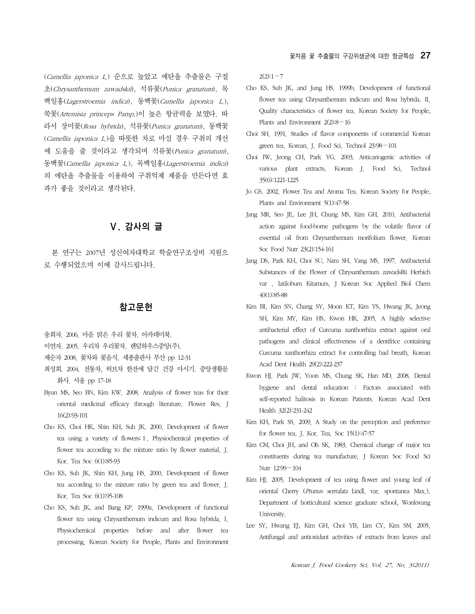(Camellia japonica L.) 순으로 높았고 에탄올 추출물은 구절 초(Chrysanthemum zawadskii), 석류꽃(Punica granatum), 목 백일홍(Lagerstroemia indica), 동백꽃(Camellia japonica L.), 쑥꽃(Artemisia princeps Pamp.)이 높은 항균력을 보였다. 따 라서 장미꽃(Rosa hybrida), 석류꽃(Punica granatum), 동백꽃 (Camellia japonica L.)을 따뜻한 차로 마실 경우 구취의 개선 에 도움을 줄 것이라고 생각되며 석류꽃(Punica granatum), 동백꽃(Camellia japonica L.), 목백일홍(Lagerstroemia indica) 의 에탄올 추출물을 이용하여 구취억제 제품을 만든다면 효 과가 좋을 것이라고 생각된다.

## Ⅴ. 감사의 글

본 연구는 2007년 성신여자대학교 학술연구조성비 지원으 로 수행되었으며 이에 감사드립니다.

### 참고문헌

- 송희자. 2006. 마음 맑은 우리 꽃차. 아카데미북.
- 이연자. 2005. 우리차 우리꽃차. 랜덤하우스중앙(주).
- 제순자 2008. 꽃차와 꽃음식. 세종출판사 부산 pp 12-31
- 최성희. 2004. 전통차, 허브차 한잔에 담긴 건강 마시기. 중앙생활문 화사. 서울 pp 17-18
- Byun MS, Seo BN, Kim KW. 2008. Analysis of flower teas for their oriental medicinal efficacy through literature. Flower Res. J 16(2):93-101
- Cho KS, Choi HK, Shin KH, Suh JK. 2000. Development of flower tea using a variety of flowers:Ⅰ. Physiochemical properties of flower tea according to the mixture ratio by flower material. J. Kor. Tea Soc 6(1):85-93
- Cho KS, Suh JK, Shin KH, Jung HS. 2000. Development of flower tea according to the mixture ratio by green tea and flower. J. Kor. Tea Soc 6(1):95-108
- Cho KS, Suh JK, and Bang KP. 1999a. Development of functional flower tea using Chrysanthemum indicum and Rosa hybrida. I. Physiochemical properties before and after flower tea processing. Korean Society for People, Plants and Environment

 $2(2):1-7$ 

- Cho KS, Suh JK, and Jung HS. 1999b. Development of functional flower tea using Chrysanthemum indicum and Rosa hybrida. II. Quality characteristics of flower tea. Korean Society for People, Plants and Environment 2(2):8−16
- Choi SH. 1991. Studies of flavor components of commercial Korean green tea. Korean. J. Food Sci. Technol 23:98−101
- Choi IW, Jeong CH, Park YG. 2003. Anticariogenic activities of various plant extracts. Korean J. Food Sci. Technol 35(6):1221-1225
- Jo GS. 2002. Flower Tea and Aroma Tea. Korean Society for People, Plants and Environment 5(1):47-58
- Jang MR, Seo JE, Lee JH, Chung MS, Kim GH. 2010. Antibacterial action against food-borne pathogens by the volatile flavor of essential oil from Chrysanthemum morifolium flower. Korean Soc Food Nutr 23(2):154-161
- Jang DS, Park KH, Choi SU, Nam SH, Yang MS. 1997. Antibacterial Substances of the Flower of Chrysanthemum zawadsRii Herbich var . Iatilobum Kitamurs. J Korean Soc Applied Biol Chem 40(1):85-88
- Kim BI, Kim SN, Chang SY, Moon KT, Kim YS, Hwang JK, Jeong SH, Kim MY, Kim HS, Kwon HK. 2005. A highly selective antibacterial effect of Curcuma xanthorrhiza extract against oral pathogens and clinical effectiveness of a dentifrice containing Curcuma xanthorrhiza extract for controlling bad breath. Korean Acad Dent Health 29(2):222-237
- Kwon HJ. Park JW, Yoon MS, Chung SK, Han MD. 2008. Dental hygiene and dental education : Factors associated with self-reported halitosis in Korean Patients. Korean Acad Dent Health 32(2):231-242
- Kim KH, Park SS. 2009. A Study on the perception and preference for flower tea. J. Kor. Tea. Soc 15(1):47-57
- Kim CM, Choi JH, and Oh SK. 1983. Chemical change of major tea constituents during tea manufacture. J Korean Soc Food Sci Nutr 12:99−104
- Kim HJ. 2005. Development of tea using flower and young leaf of oriental Cherry (Prunus serrulata Lindl. var. spontanea Max.). Department of horticultural science graduate school, Wonkwang University.
- Lee SY, Hwang EJ, Kim GH, Choi YB, Lim CY, Kim SM. 2005. Antifungal and antioxidant activities of extracts from leaves and